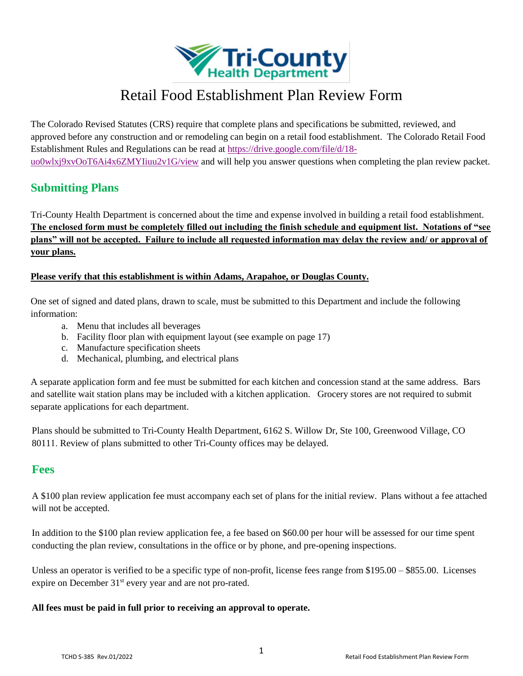

# Retail Food Establishment Plan Review Form

The Colorado Revised Statutes (CRS) require that complete plans and specifications be submitted, reviewed, and approved before any construction and or remodeling can begin on a retail food establishment. The Colorado Retail Food Establishment Rules and Regulations can be read at [https://drive.google.com/file/d/18](https://drive.google.com/file/d/18-uo0wlxj9xvOoT6Ai4x6ZMYIiuu2v1G/view) [uo0wlxj9xvOoT6Ai4x6ZMYIiuu2v1G/view](https://drive.google.com/file/d/18-uo0wlxj9xvOoT6Ai4x6ZMYIiuu2v1G/view) and will help you answer questions when completing the plan review packet.

## **Submitting Plans**

Tri-County Health Department is concerned about the time and expense involved in building a retail food establishment. **The enclosed form must be completely filled out including the finish schedule and equipment list. Notations of "see plans" will not be accepted. Failure to include all requested information may delay the review and/ or approval of your plans.**

### **Please verify that this establishment is within Adams, Arapahoe, or Douglas County.**

One set of signed and dated plans, drawn to scale, must be submitted to this Department and include the following information:

- a. Menu that includes all beverages
- b. Facility floor plan with equipment layout (see example on page 17)
- c. Manufacture specification sheets
- d. Mechanical, plumbing, and electrical plans

A separate application form and fee must be submitted for each kitchen and concession stand at the same address. Bars and satellite wait station plans may be included with a kitchen application. Grocery stores are not required to submit separate applications for each department.

Plans should be submitted to Tri-County Health Department, 6162 S. Willow Dr, Ste 100, Greenwood Village, CO 80111. Review of plans submitted to other Tri-County offices may be delayed.

### **Fees**

A \$100 plan review application fee must accompany each set of plans for the initial review. Plans without a fee attached will not be accepted.

In addition to the \$100 plan review application fee, a fee based on \$60.00 per hour will be assessed for our time spent conducting the plan review, consultations in the office or by phone, and pre-opening inspections.

Unless an operator is verified to be a specific type of non-profit, license fees range from \$195.00 – \$855.00. Licenses expire on December 31<sup>st</sup> every year and are not pro-rated.

### **All fees must be paid in full prior to receiving an approval to operate.**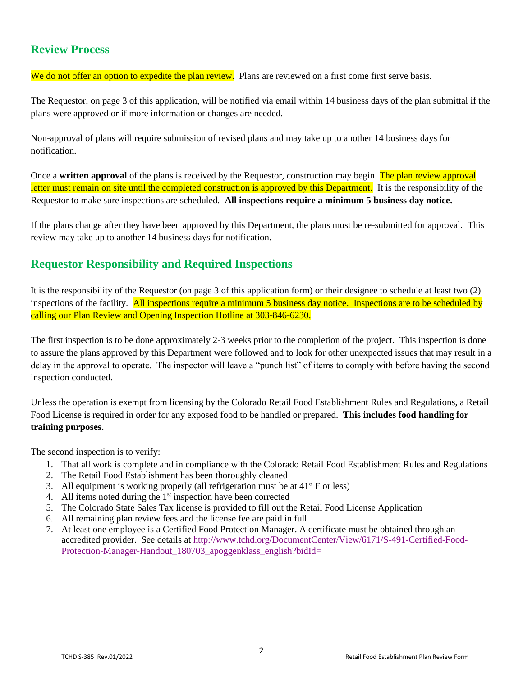## **Review Process**

We do not offer an option to expedite the plan review. Plans are reviewed on a first come first serve basis.

The Requestor, on page 3 of this application, will be notified via email within 14 business days of the plan submittal if the plans were approved or if more information or changes are needed.

Non-approval of plans will require submission of revised plans and may take up to another 14 business days for notification.

Once a **written approval** of the plans is received by the Requestor, construction may begin. The plan review approval letter must remain on site until the completed construction is approved by this Department. It is the responsibility of the Requestor to make sure inspections are scheduled. **All inspections require a minimum 5 business day notice.**

If the plans change after they have been approved by this Department, the plans must be re-submitted for approval. This review may take up to another 14 business days for notification.

## **Requestor Responsibility and Required Inspections**

It is the responsibility of the Requestor (on page 3 of this application form) or their designee to schedule at least two (2) inspections of the facility. All inspections require a minimum 5 business day notice. Inspections are to be scheduled by calling our Plan Review and Opening Inspection Hotline at 303-846-6230.

The first inspection is to be done approximately 2-3 weeks prior to the completion of the project. This inspection is done to assure the plans approved by this Department were followed and to look for other unexpected issues that may result in a delay in the approval to operate. The inspector will leave a "punch list" of items to comply with before having the second inspection conducted.

Unless the operation is exempt from licensing by the Colorado Retail Food Establishment Rules and Regulations, a Retail Food License is required in order for any exposed food to be handled or prepared. **This includes food handling for training purposes.**

The second inspection is to verify:

- 1. That all work is complete and in compliance with the Colorado Retail Food Establishment Rules and Regulations
- 2. The Retail Food Establishment has been thoroughly cleaned
- 3. All equipment is working properly (all refrigeration must be at  $41^{\circ}$  F or less)
- 4. All items noted during the  $1<sup>st</sup>$  inspection have been corrected
- 5. The Colorado State Sales Tax license is provided to fill out the Retail Food License Application
- 6. All remaining plan review fees and the license fee are paid in full
- 7. At least one employee is a Certified Food Protection Manager. A certificate must be obtained through an accredited provider. See details at [http://www.tchd.org/DocumentCenter/View/6171/S-491-Certified-Food-](http://www.tchd.org/DocumentCenter/View/6171/S-491-Certified-Food-Protection-Manager-Handout_180703_apoggenklass_english?bidId=)Protection-Manager-Handout 180703 apoggenklass english?bidId=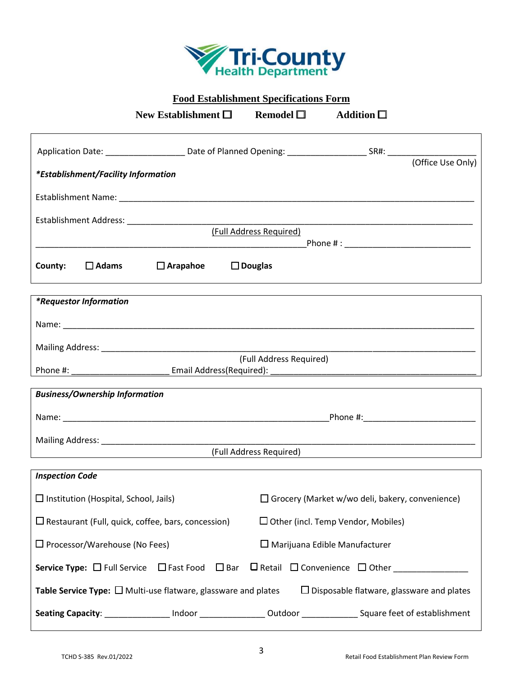

## **Food Establishment Specifications Form**

**New Establishment** □ **Remodel** □ **Addition** □

| *Establishment/Facility Information                                                                                 |                                                                                                                                          |                         |                                                        | (Office Use Only) |
|---------------------------------------------------------------------------------------------------------------------|------------------------------------------------------------------------------------------------------------------------------------------|-------------------------|--------------------------------------------------------|-------------------|
|                                                                                                                     |                                                                                                                                          |                         |                                                        |                   |
|                                                                                                                     |                                                                                                                                          |                         |                                                        |                   |
|                                                                                                                     |                                                                                                                                          | (Full Address Required) |                                                        |                   |
| County:<br>$\square$ Adams                                                                                          | $\Box$ Arapahoe<br><u> 1989 - Johann Harry Harry Harry Harry Harry Harry Harry Harry Harry Harry Harry Harry Harry Harry Harry Harry</u> | $\Box$ Douglas          |                                                        |                   |
| *Requestor Information                                                                                              |                                                                                                                                          |                         |                                                        |                   |
|                                                                                                                     |                                                                                                                                          |                         |                                                        |                   |
|                                                                                                                     |                                                                                                                                          |                         |                                                        |                   |
|                                                                                                                     |                                                                                                                                          | (Full Address Required) |                                                        |                   |
| <b>Business/Ownership Information</b>                                                                               |                                                                                                                                          |                         |                                                        |                   |
|                                                                                                                     |                                                                                                                                          |                         |                                                        |                   |
|                                                                                                                     |                                                                                                                                          |                         |                                                        |                   |
|                                                                                                                     |                                                                                                                                          |                         |                                                        |                   |
| <b>Inspection Code</b>                                                                                              |                                                                                                                                          |                         |                                                        |                   |
| $\Box$ Institution (Hospital, School, Jails)                                                                        |                                                                                                                                          |                         | $\Box$ Grocery (Market w/wo deli, bakery, convenience) |                   |
| $\square$ Restaurant (Full, quick, coffee, bars, concession)                                                        |                                                                                                                                          |                         | $\Box$ Other (incl. Temp Vendor, Mobiles)              |                   |
| $\Box$ Processor/Warehouse (No Fees)                                                                                |                                                                                                                                          |                         | $\square$ Marijuana Edible Manufacturer                |                   |
|                                                                                                                     |                                                                                                                                          |                         |                                                        |                   |
| Table Service Type: $\square$ Multi-use flatware, glassware and plates                                              |                                                                                                                                          |                         | $\Box$ Disposable flatware, glassware and plates       |                   |
| Seating Capacity: __________________ Indoor _________________ Outdoor ________________ Square feet of establishment |                                                                                                                                          |                         |                                                        |                   |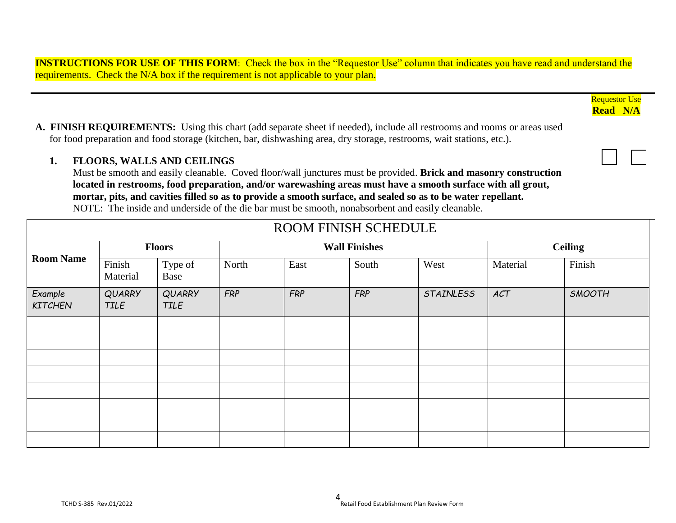### **INSTRUCTIONS FOR USE OF THIS FORM**: Check the box in the "Requestor Use" column that indicates you have read and understand the requirements. Check the N/A box if the requirement is not applicable to your plan.

Requestor Use **Read N/A**

 $\Box$   $\Box$ 

- **A. FINISH REQUIREMENTS:** Using this chart (add separate sheet if needed), include all restrooms and rooms or areas used for food preparation and food storage (kitchen, bar, dishwashing area, dry storage, restrooms, wait stations, etc.).
	- **1. FLOORS, WALLS AND CEILINGS**

Must be smooth and easily cleanable. Coved floor/wall junctures must be provided. **Brick and masonry construction located in restrooms, food preparation, and/or warewashing areas must have a smooth surface with all grout, mortar, pits, and cavities filled so as to provide a smooth surface, and sealed so as to be water repellant.** NOTE: The inside and underside of the die bar must be smooth, nonabsorbent and easily cleanable.

|                           | ROOM FINISH SCHEDULE         |                       |       |      |                      |                  |                |               |  |
|---------------------------|------------------------------|-----------------------|-------|------|----------------------|------------------|----------------|---------------|--|
|                           |                              | <b>Floors</b>         |       |      | <b>Wall Finishes</b> |                  | <b>Ceiling</b> |               |  |
| <b>Room Name</b>          | Finish<br>Material           | Type of<br>Base       | North | East | South                | West             | Material       | Finish        |  |
| Example<br><b>KITCHEN</b> | <b>QUARRY</b><br><b>TILE</b> | <b>QUARRY</b><br>TILE | FRP   | FRP  | FRP                  | <b>STAINLESS</b> | ACT            | <b>SMOOTH</b> |  |
|                           |                              |                       |       |      |                      |                  |                |               |  |
|                           |                              |                       |       |      |                      |                  |                |               |  |
|                           |                              |                       |       |      |                      |                  |                |               |  |
|                           |                              |                       |       |      |                      |                  |                |               |  |
|                           |                              |                       |       |      |                      |                  |                |               |  |
|                           |                              |                       |       |      |                      |                  |                |               |  |
|                           |                              |                       |       |      |                      |                  |                |               |  |
|                           |                              |                       |       |      |                      |                  |                |               |  |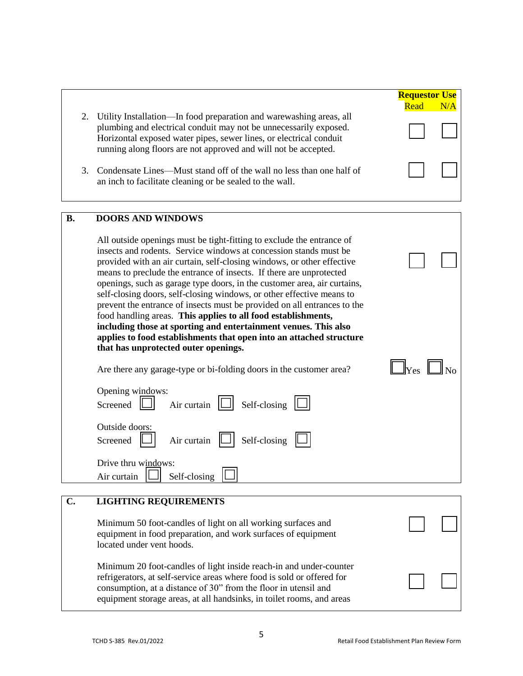|           |                                                                                                                                                                                                                                                                                                                                                                                                                                                                                                                                                                                                                                                                  | <b>Requestor Use</b><br>Read                    | N/A |
|-----------|------------------------------------------------------------------------------------------------------------------------------------------------------------------------------------------------------------------------------------------------------------------------------------------------------------------------------------------------------------------------------------------------------------------------------------------------------------------------------------------------------------------------------------------------------------------------------------------------------------------------------------------------------------------|-------------------------------------------------|-----|
| 2.        | Utility Installation-In food preparation and warewashing areas, all<br>plumbing and electrical conduit may not be unnecessarily exposed.<br>Horizontal exposed water pipes, sewer lines, or electrical conduit<br>running along floors are not approved and will not be accepted.                                                                                                                                                                                                                                                                                                                                                                                |                                                 |     |
| 3.        | Condensate Lines—Must stand off of the wall no less than one half of<br>an inch to facilitate cleaning or be sealed to the wall.                                                                                                                                                                                                                                                                                                                                                                                                                                                                                                                                 |                                                 |     |
| <b>B.</b> | <b>DOORS AND WINDOWS</b>                                                                                                                                                                                                                                                                                                                                                                                                                                                                                                                                                                                                                                         |                                                 |     |
|           | All outside openings must be tight-fitting to exclude the entrance of<br>insects and rodents. Service windows at concession stands must be<br>provided with an air curtain, self-closing windows, or other effective<br>means to preclude the entrance of insects. If there are unprotected<br>openings, such as garage type doors, in the customer area, air curtains,<br>self-closing doors, self-closing windows, or other effective means to<br>prevent the entrance of insects must be provided on all entrances to the<br>food handling areas. This applies to all food establishments,<br>including those at sporting and entertainment venues. This also |                                                 |     |
|           | applies to food establishments that open into an attached structure<br>that has unprotected outer openings.                                                                                                                                                                                                                                                                                                                                                                                                                                                                                                                                                      |                                                 |     |
|           | Are there any garage-type or bi-folding doors in the customer area?                                                                                                                                                                                                                                                                                                                                                                                                                                                                                                                                                                                              | $\parallel$ $\parallel$ $\parallel$ $\parallel$ |     |
|           | Opening windows:<br>Screened<br>Self-closing<br>Air curtain $\Box$                                                                                                                                                                                                                                                                                                                                                                                                                                                                                                                                                                                               |                                                 |     |
|           | Outside doors:                                                                                                                                                                                                                                                                                                                                                                                                                                                                                                                                                                                                                                                   |                                                 |     |
|           | Self-closing<br>Air curtain $\Box$<br>Screened                                                                                                                                                                                                                                                                                                                                                                                                                                                                                                                                                                                                                   |                                                 |     |

Minimum 50 foot-candles of light on all working surfaces and equipment in food preparation, and work surfaces of equipment located under vent hoods.

Minimum 20 foot-candles of light inside reach-in and under-counter refrigerators, at self-service areas where food is sold or offered for consumption, at a distance of 30" from the floor in utensil and equipment storage areas, at all handsinks, in toilet rooms, and areas

 $\Box$ 

 $\Box$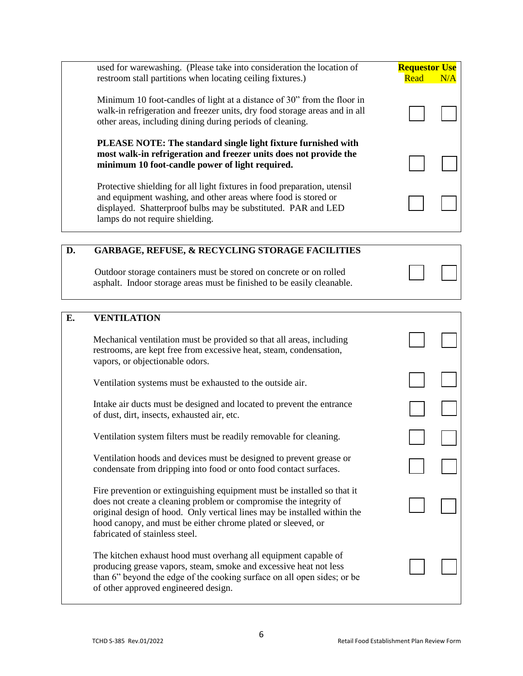| used for warewashing. (Please take into consideration the location of<br>restroom stall partitions when locating ceiling fixtures.)                                                                                                            | <b>Requestor Use</b><br>Read |
|------------------------------------------------------------------------------------------------------------------------------------------------------------------------------------------------------------------------------------------------|------------------------------|
| Minimum 10 foot-candles of light at a distance of 30" from the floor in<br>walk-in refrigeration and freezer units, dry food storage areas and in all<br>other areas, including dining during periods of cleaning.                             |                              |
| PLEASE NOTE: The standard single light fixture furnished with<br>most walk-in refrigeration and freezer units does not provide the<br>minimum 10 foot-candle power of light required.                                                          |                              |
| Protective shielding for all light fixtures in food preparation, utensil<br>and equipment washing, and other areas where food is stored or<br>displayed. Shatterproof bulbs may be substituted. PAR and LED<br>lamps do not require shielding. |                              |

### **D. GARBAGE, REFUSE, & RECYCLING STORAGE FACILITIES**

Outdoor storage containers must be stored on concrete or on rolled asphalt. Indoor storage areas must be finished to be easily cleanable.

### **E. VENTILATION**

Mechanical ventilation must be provided so that all areas, including restrooms, are kept free from excessive heat, steam, condensation, vapors, or objectionable odors.

Ventilation systems must be exhausted to the outside air.

Intake air ducts must be designed and located to prevent the entrance of dust, dirt, insects, exhausted air, etc.

Ventilation system filters must be readily removable for cleaning.

Ventilation hoods and devices must be designed to prevent grease or condensate from dripping into food or onto food contact surfaces.

Fire prevention or extinguishing equipment must be installed so that it does not create a cleaning problem or compromise the integrity of original design of hood. Only vertical lines may be installed within the hood canopy, and must be either chrome plated or sleeved, or fabricated of stainless steel.

The kitchen exhaust hood must overhang all equipment capable of producing grease vapors, steam, smoke and excessive heat not less than 6" beyond the edge of the cooking surface on all open sides; or be of other approved engineered design.

 $\Box$ 

 $\Box$ 

 $\Box$ 

 $\Box$   $\Box$ 

 $\Box$ 

 $\Box$ 

 $\Box$   $\Box$ 

 $\Box$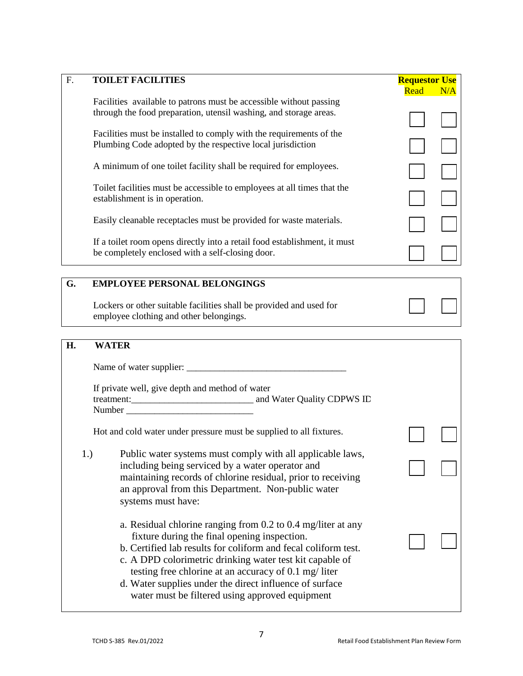| F. | <b>TOILET FACILITIES</b>                                                                                                                | <b>Requestor Use</b><br>Read | N/A |
|----|-----------------------------------------------------------------------------------------------------------------------------------------|------------------------------|-----|
|    | Facilities available to patrons must be accessible without passing<br>through the food preparation, utensil washing, and storage areas. |                              |     |
|    | Facilities must be installed to comply with the requirements of the<br>Plumbing Code adopted by the respective local jurisdiction       |                              |     |
|    | A minimum of one toilet facility shall be required for employees.                                                                       |                              |     |
|    | Toilet facilities must be accessible to employees at all times that the<br>establishment is in operation.                               |                              |     |
|    | Easily cleanable receptacles must be provided for waste materials.                                                                      |                              |     |
|    | If a toilet room opens directly into a retail food establishment, it must<br>be completely enclosed with a self-closing door.           |                              |     |

## **G. EMPLOYEE PERSONAL BELONGINGS**

Lockers or other suitable facilities shall be provided and used for employee clothing and other belongings.

## **H. WATER**

|     | If private well, give depth and method of water                                                                                                                                                                                                                                                    |  |
|-----|----------------------------------------------------------------------------------------------------------------------------------------------------------------------------------------------------------------------------------------------------------------------------------------------------|--|
|     | Hot and cold water under pressure must be supplied to all fixtures.                                                                                                                                                                                                                                |  |
| 1.) | Public water systems must comply with all applicable laws,                                                                                                                                                                                                                                         |  |
|     | including being serviced by a water operator and<br>maintaining records of chlorine residual, prior to receiving<br>an approval from this Department. Non-public water<br>systems must have:                                                                                                       |  |
|     | a. Residual chlorine ranging from 0.2 to 0.4 mg/liter at any<br>fixture during the final opening inspection.<br>b. Certified lab results for coliform and fecal coliform test.<br>c. A DPD colorimetric drinking water test kit capable of<br>testing free chlorine at an accuracy of 0.1 mg/liter |  |
|     | d. Water supplies under the direct influence of surface<br>water must be filtered using approved equipment                                                                                                                                                                                         |  |

 $\Box$   $\Box$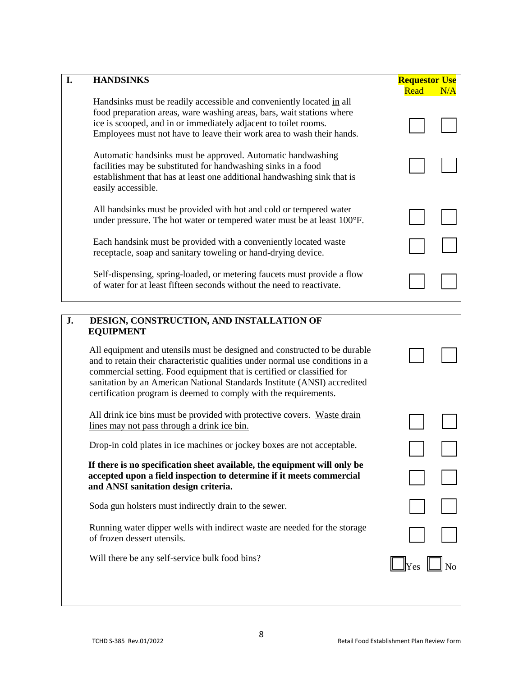| $\mathbf{I}$ | <b>HANDSINKS</b>                                                                                                                                                                                                                                                                          | <b>Requestor Use</b><br>Read | N/A |
|--------------|-------------------------------------------------------------------------------------------------------------------------------------------------------------------------------------------------------------------------------------------------------------------------------------------|------------------------------|-----|
|              | Handsinks must be readily accessible and conveniently located in all<br>food preparation areas, ware washing areas, bars, wait stations where<br>ice is scooped, and in or immediately adjacent to toilet rooms.<br>Employees must not have to leave their work area to wash their hands. |                              |     |
|              | Automatic handsinks must be approved. Automatic handwashing<br>facilities may be substituted for handwashing sinks in a food<br>establishment that has at least one additional handwashing sink that is<br>easily accessible.                                                             |                              |     |
|              | All handsinks must be provided with hot and cold or tempered water<br>under pressure. The hot water or tempered water must be at least 100°F.                                                                                                                                             |                              |     |
|              | Each handsink must be provided with a conveniently located waste<br>receptacle, soap and sanitary toweling or hand-drying device.                                                                                                                                                         |                              |     |
|              | Self-dispensing, spring-loaded, or metering faucets must provide a flow<br>of water for at least fifteen seconds without the need to reactivate.                                                                                                                                          |                              |     |

### **J. DESIGN, CONSTRUCTION, AND INSTALLATION OF EQUIPMENT**

All equipment and utensils must be designed and constructed to be durable and to retain their characteristic qualities under normal use conditions in a commercial setting. Food equipment that is certified or classified for sanitation by an American National Standards Institute (ANSI) accredited certification program is deemed to comply with the requirements.

All drink ice bins must be provided with protective covers. Waste drain lines may not pass through a drink ice bin.

Drop-in cold plates in ice machines or jockey boxes are not acceptable.

**If there is no specification sheet available, the equipment will only be accepted upon a field inspection to determine if it meets commercial and ANSI sanitation design criteria.**

Soda gun holsters must indirectly drain to the sewer.

Running water dipper wells with indirect waste are needed for the storage of frozen dessert utensils.

Will there be any self-service bulk food bins?

 $\Box$ 

 $\Box$   $\Box$ 

 $\Box$ 

 $\Box$ 

 $\Box$ 

 $\begin{array}{|c|c|c|c|c|}\hline \quad \quad & \quad \quad & \quad \quad & \quad \quad & \quad \quad \\ \hline \quad \quad & \quad \quad & \quad \quad & \quad \quad & \quad \quad \\ \hline \quad \quad & \quad \quad & \quad \quad & \quad \quad & \quad \quad \\ \hline \end{array}$ 

 $\Box$ Yes  $\Box$ No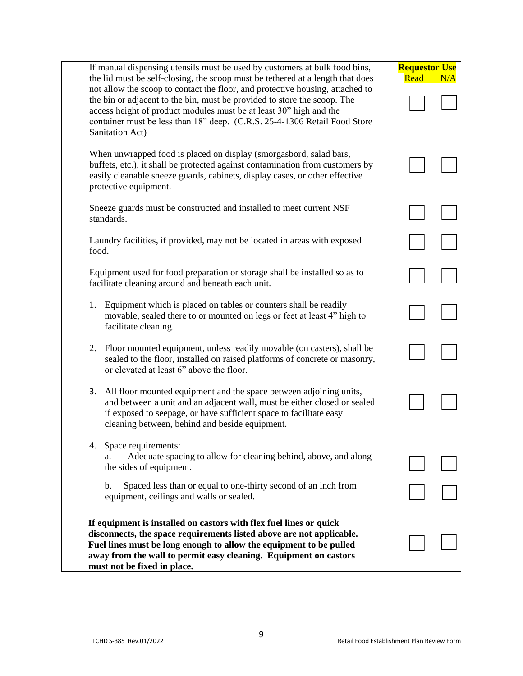| If manual dispensing utensils must be used by customers at bulk food bins,<br>the lid must be self-closing, the scoop must be tethered at a length that does                                                                                                                                                                    | <b>Requestor Use</b><br><b>Read</b><br>N/A |
|---------------------------------------------------------------------------------------------------------------------------------------------------------------------------------------------------------------------------------------------------------------------------------------------------------------------------------|--------------------------------------------|
| not allow the scoop to contact the floor, and protective housing, attached to<br>the bin or adjacent to the bin, must be provided to store the scoop. The<br>access height of product modules must be at least 30" high and the<br>container must be less than 18" deep. (C.R.S. 25-4-1306 Retail Food Store<br>Sanitation Act) |                                            |
| When unwrapped food is placed on display (smorgasbord, salad bars,<br>buffets, etc.), it shall be protected against contamination from customers by<br>easily cleanable sneeze guards, cabinets, display cases, or other effective<br>protective equipment.                                                                     |                                            |
| Sneeze guards must be constructed and installed to meet current NSF<br>standards.                                                                                                                                                                                                                                               |                                            |
| Laundry facilities, if provided, may not be located in areas with exposed<br>food.                                                                                                                                                                                                                                              |                                            |
| Equipment used for food preparation or storage shall be installed so as to<br>facilitate cleaning around and beneath each unit.                                                                                                                                                                                                 |                                            |
| Equipment which is placed on tables or counters shall be readily<br>1.<br>movable, sealed there to or mounted on legs or feet at least 4" high to<br>facilitate cleaning.                                                                                                                                                       |                                            |
| 2.<br>Floor mounted equipment, unless readily movable (on casters), shall be<br>sealed to the floor, installed on raised platforms of concrete or masonry,<br>or elevated at least 6" above the floor.                                                                                                                          |                                            |
| All floor mounted equipment and the space between adjoining units,<br>3.<br>and between a unit and an adjacent wall, must be either closed or sealed<br>if exposed to seepage, or have sufficient space to facilitate easy<br>cleaning between, behind and beside equipment.                                                    |                                            |
| Space requirements:<br>4.<br>Adequate spacing to allow for cleaning behind, above, and along<br>a.<br>the sides of equipment.                                                                                                                                                                                                   |                                            |
| Spaced less than or equal to one-thirty second of an inch from<br>$\mathbf{b}$ .<br>equipment, ceilings and walls or sealed.                                                                                                                                                                                                    |                                            |
| If equipment is installed on castors with flex fuel lines or quick<br>disconnects, the space requirements listed above are not applicable.<br>Fuel lines must be long enough to allow the equipment to be pulled<br>away from the wall to permit easy cleaning. Equipment on castors<br>must not be fixed in place.             |                                            |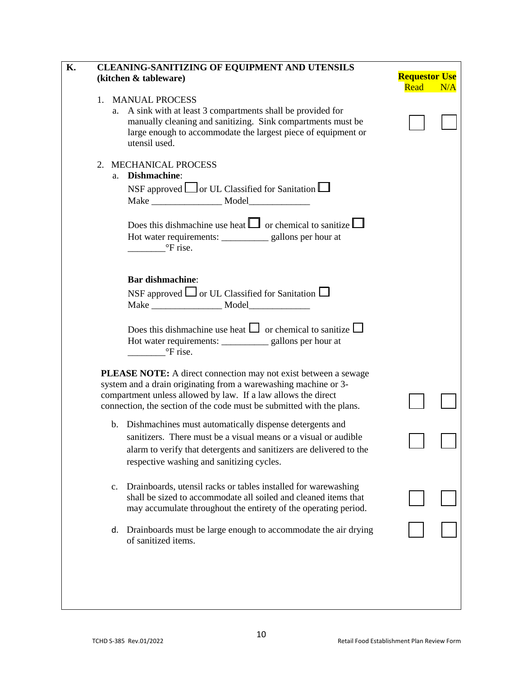| Κ. | <b>CLEANING-SANITIZING OF EQUIPMENT AND UTENSILS</b>                   |                      |     |
|----|------------------------------------------------------------------------|----------------------|-----|
|    | (kitchen & tableware)                                                  | <b>Requestor Use</b> |     |
|    |                                                                        | Read                 | N/A |
|    | 1. MANUAL PROCESS                                                      |                      |     |
|    | A sink with at least 3 compartments shall be provided for<br>a.        |                      |     |
|    | manually cleaning and sanitizing. Sink compartments must be            |                      |     |
|    | large enough to accommodate the largest piece of equipment or          |                      |     |
|    | utensil used.                                                          |                      |     |
|    |                                                                        |                      |     |
|    | 2. MECHANICAL PROCESS                                                  |                      |     |
|    | a. Dishmachine:                                                        |                      |     |
|    | NSF approved <u>Lore</u> UL Classified for Sanitation Lu               |                      |     |
|    |                                                                        |                      |     |
|    |                                                                        |                      |     |
|    |                                                                        |                      |     |
|    | Does this dishmachine use heat $\Box$ or chemical to sanitize $\Box$   |                      |     |
|    | Hot water requirements: ____________ gallons per hour at               |                      |     |
|    | $\mathrm{P}$ rise.                                                     |                      |     |
|    |                                                                        |                      |     |
|    |                                                                        |                      |     |
|    | <b>Bar dishmachine:</b>                                                |                      |     |
|    | NSF approved $\Box$ or UL Classified for Sanitation $\Box$             |                      |     |
|    |                                                                        |                      |     |
|    |                                                                        |                      |     |
|    | Does this dishmachine use heat $\Box$ or chemical to sanitize $\Box$   |                      |     |
|    | Hot water requirements: ______________ gallons per hour at             |                      |     |
|    | $\mathrm{P}$ rise.                                                     |                      |     |
|    |                                                                        |                      |     |
|    | <b>PLEASE NOTE:</b> A direct connection may not exist between a sewage |                      |     |
|    | system and a drain originating from a warewashing machine or 3-        |                      |     |
|    | compartment unless allowed by law. If a law allows the direct          |                      |     |
|    | connection, the section of the code must be submitted with the plans.  |                      |     |
|    |                                                                        |                      |     |
|    | b. Dishmachines must automatically dispense detergents and             |                      |     |
|    | sanitizers. There must be a visual means or a visual or audible        |                      |     |
|    | alarm to verify that detergents and sanitizers are delivered to the    |                      |     |
|    |                                                                        |                      |     |
|    | respective washing and sanitizing cycles.                              |                      |     |
|    |                                                                        |                      |     |
|    | Drainboards, utensil racks or tables installed for warewashing<br>c.   |                      |     |
|    | shall be sized to accommodate all soiled and cleaned items that        |                      |     |
|    | may accumulate throughout the entirety of the operating period.        |                      |     |
|    |                                                                        |                      |     |
|    | Drainboards must be large enough to accommodate the air drying<br>d.   |                      |     |
|    | of sanitized items.                                                    |                      |     |
|    |                                                                        |                      |     |
|    |                                                                        |                      |     |
|    |                                                                        |                      |     |
|    |                                                                        |                      |     |
|    |                                                                        |                      |     |
|    |                                                                        |                      |     |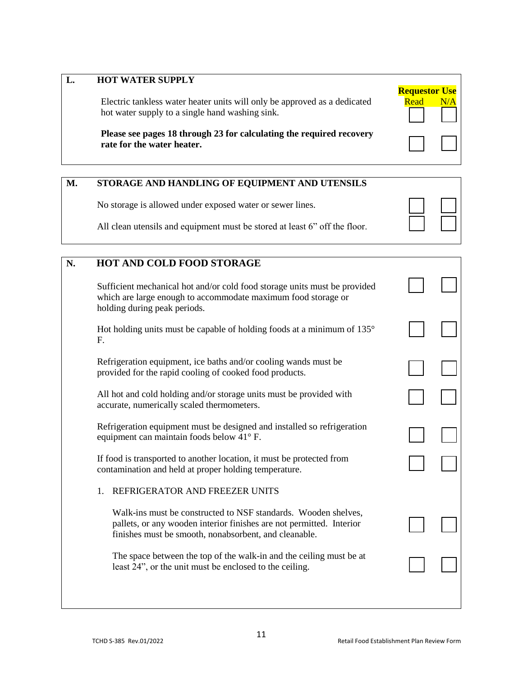### **L. HOT WATER SUPPLY**

Electric tankless water heater units will only be approved as a dedicated hot water supply to a single hand washing sink.

**Please see pages 18 through 23 for calculating the required recovery rate for the water heater.**

## **M. STORAGE AND HANDLING OF EQUIPMENT AND UTENSILS**

No storage is allowed under exposed water or sewer lines.

All clean utensils and equipment must be stored at least 6" off the floor.

| N. | <b>HOT AND COLD FOOD STORAGE</b>                                                                                                                                                                |  |
|----|-------------------------------------------------------------------------------------------------------------------------------------------------------------------------------------------------|--|
|    | Sufficient mechanical hot and/or cold food storage units must be provided<br>which are large enough to accommodate maximum food storage or<br>holding during peak periods.                      |  |
|    | Hot holding units must be capable of holding foods at a minimum of $135^{\circ}$<br>F.                                                                                                          |  |
|    | Refrigeration equipment, ice baths and/or cooling wands must be<br>provided for the rapid cooling of cooked food products.                                                                      |  |
|    | All hot and cold holding and/or storage units must be provided with<br>accurate, numerically scaled thermometers.                                                                               |  |
|    | Refrigeration equipment must be designed and installed so refrigeration<br>equipment can maintain foods below 41° F.                                                                            |  |
|    | If food is transported to another location, it must be protected from<br>contamination and held at proper holding temperature.                                                                  |  |
|    | REFRIGERATOR AND FREEZER UNITS<br>1.                                                                                                                                                            |  |
|    | Walk-ins must be constructed to NSF standards. Wooden shelves,<br>pallets, or any wooden interior finishes are not permitted. Interior<br>finishes must be smooth, nonabsorbent, and cleanable. |  |
|    | The space between the top of the walk-in and the ceiling must be at<br>least 24", or the unit must be enclosed to the ceiling.                                                                  |  |
|    |                                                                                                                                                                                                 |  |

**Requestor Use** Read N/A  $\Box$   $\Box$ 

 $\Box$   $\Box$ 

 $\Box$ 

 $\Box$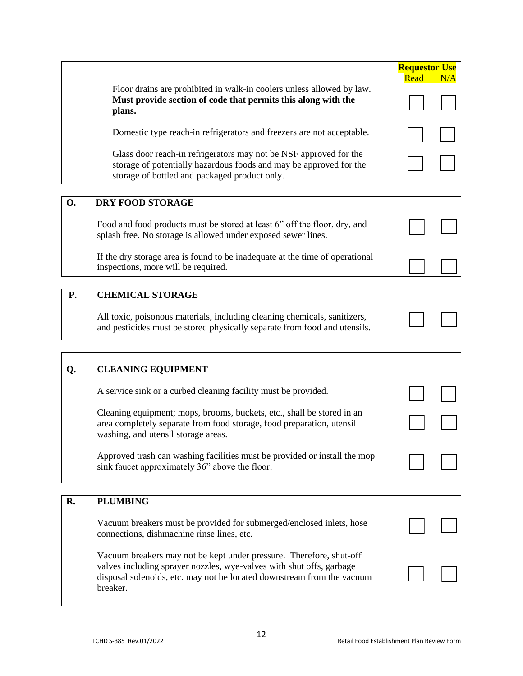|                                                                                                                                                                                          | <b>Requestor Use</b> |
|------------------------------------------------------------------------------------------------------------------------------------------------------------------------------------------|----------------------|
|                                                                                                                                                                                          | Read<br>N/A          |
| Floor drains are prohibited in walk-in coolers unless allowed by law.<br>Must provide section of code that permits this along with the<br>plans.                                         |                      |
| Domestic type reach-in refrigerators and freezers are not acceptable.                                                                                                                    |                      |
| Glass door reach-in refrigerators may not be NSF approved for the<br>storage of potentially hazardous foods and may be approved for the<br>storage of bottled and packaged product only. |                      |

### **O. DRY FOOD STORAGE**

Food and food products must be stored at least 6" off the floor, dry, and splash free. No storage is allowed under exposed sewer lines.

If the dry storage area is found to be inadequate at the time of operational inspections, more will be required.

### **P. CHEMICAL STORAGE**

All toxic, poisonous materials, including cleaning chemicals, sanitizers, and pesticides must be stored physically separate from food and utensils.

### **Q. CLEANING EQUIPMENT**

A service sink or a curbed cleaning facility must be provided. Cleaning equipment; mops, brooms, buckets, etc., shall be stored in an

area completely separate from food storage, food preparation, utensil washing, and utensil storage areas.

Approved trash can washing facilities must be provided or install the mop sink faucet approximately 36" above the floor.

### **R. PLUMBING**

Vacuum breakers must be provided for submerged/enclosed inlets, hose connections, dishmachine rinse lines, etc.

Vacuum breakers may not be kept under pressure. Therefore, shut-off valves including sprayer nozzles, wye-valves with shut offs, garbage disposal solenoids, etc. may not be located downstream from the vacuum breaker.

 $\Box$ 

 $\Box$   $\Box$ 

 $\Box$ 

 $\Box$   $\Box$ 

 $\Box$ 

 $\Box$ 

 $\Box$   $\Box$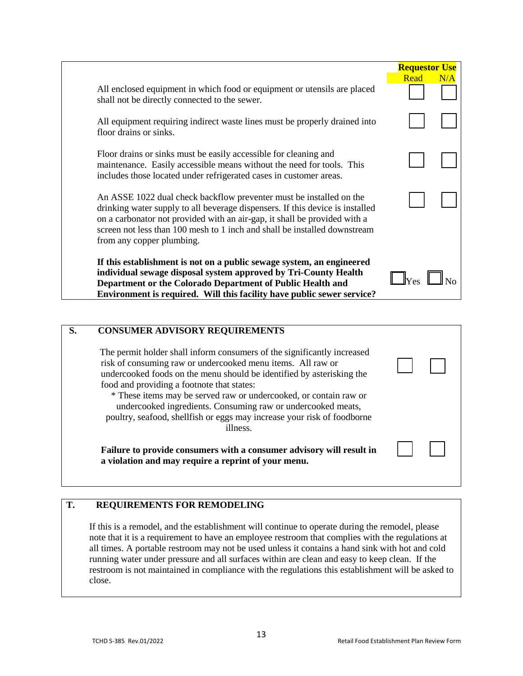|                                                                                                                                                                                                                                                                                                                                             | <b>Requestor Use</b> |     |
|---------------------------------------------------------------------------------------------------------------------------------------------------------------------------------------------------------------------------------------------------------------------------------------------------------------------------------------------|----------------------|-----|
| All enclosed equipment in which food or equipment or utensils are placed<br>shall not be directly connected to the sewer.                                                                                                                                                                                                                   | Read                 | N/A |
| All equipment requiring indirect waste lines must be properly drained into<br>floor drains or sinks.                                                                                                                                                                                                                                        |                      |     |
| Floor drains or sinks must be easily accessible for cleaning and<br>maintenance. Easily accessible means without the need for tools. This<br>includes those located under refrigerated cases in customer areas.                                                                                                                             |                      |     |
| An ASSE 1022 dual check backflow preventer must be installed on the<br>drinking water supply to all beverage dispensers. If this device is installed<br>on a carbonator not provided with an air-gap, it shall be provided with a<br>screen not less than 100 mesh to 1 inch and shall be installed downstream<br>from any copper plumbing. |                      |     |
| If this establishment is not on a public sewage system, an engineered<br>individual sewage disposal system approved by Tri-County Health<br>Department or the Colorado Department of Public Health and<br>Environment is required. Will this facility have public sewer service?                                                            |                      |     |

## **S. CONSUMER ADVISORY REQUIREMENTS** The permit holder shall inform consumers of the significantly increased risk of consuming raw or undercooked menu items. All raw or undercooked foods on the menu should be identified by asterisking the food and providing a footnote that states: \* These items may be served raw or undercooked, or contain raw or undercooked ingredients. Consuming raw or undercooked meats, poultry, seafood, shellfish or eggs may increase your risk of foodborne illness. **Failure to provide consumers with a consumer advisory will result in a violation and may require a reprint of your menu.**  $\Box$  $\Box$

## **T. REQUIREMENTS FOR REMODELING**

If this is a remodel, and the establishment will continue to operate during the remodel, please note that it is a requirement to have an employee restroom that complies with the regulations at all times. A portable restroom may not be used unless it contains a hand sink with hot and cold running water under pressure and all surfaces within are clean and easy to keep clean. If the restroom is not maintained in compliance with the regulations this establishment will be asked to close.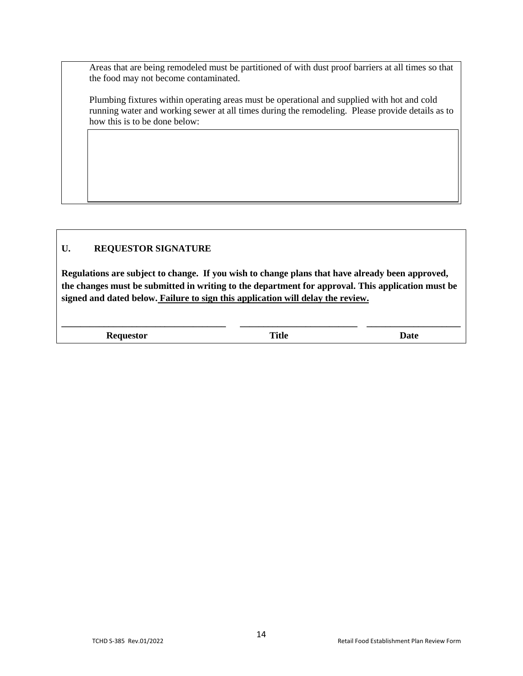Areas that are being remodeled must be partitioned of with dust proof barriers at all times so that the food may not become contaminated.

Plumbing fixtures within operating areas must be operational and supplied with hot and cold running water and working sewer at all times during the remodeling. Please provide details as to how this is to be done below:

### **U. REQUESTOR SIGNATURE**

**Regulations are subject to change. If you wish to change plans that have already been approved, the changes must be submitted in writing to the department for approval. This application must be signed and dated below. Failure to sign this application will delay the review.**

**\_\_\_\_\_\_\_\_\_\_\_\_\_\_\_\_\_\_\_\_\_\_\_\_\_\_\_\_\_\_\_\_\_\_\_ \_\_\_\_\_\_\_\_\_\_\_\_\_\_\_\_\_\_\_\_\_\_\_\_\_ \_\_\_\_\_\_\_\_\_\_\_\_\_\_\_\_\_\_\_\_**

**Requestor Date**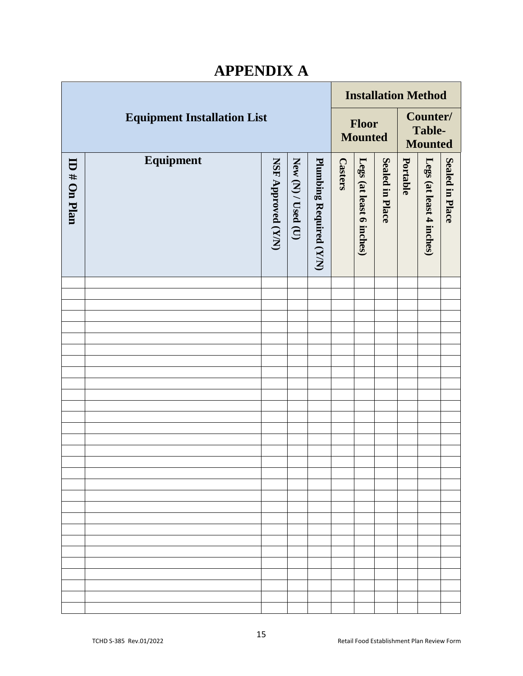|                                    |           |                    |                    | <b>Installation Method</b>                                      |                |                          |                 |          |                          |                 |
|------------------------------------|-----------|--------------------|--------------------|-----------------------------------------------------------------|----------------|--------------------------|-----------------|----------|--------------------------|-----------------|
| <b>Equipment Installation List</b> |           |                    |                    | Counter/<br>Floor<br>Table-<br><b>Mounted</b><br><b>Mounted</b> |                |                          |                 |          |                          |                 |
| $ID \# On Plan$                    | Equipment | NSF Approved (Y/N) | New (N) / Used (U) | Plumbing Required (Y/N)                                         | <b>Casters</b> | Legs (at least 6 inches) | Sealed in Place | Portable | Legs (at least 4 inches) | Sealed in Place |
|                                    |           |                    |                    |                                                                 |                |                          |                 |          |                          |                 |
|                                    |           |                    |                    |                                                                 |                |                          |                 |          |                          |                 |
|                                    |           |                    |                    |                                                                 |                |                          |                 |          |                          |                 |
|                                    |           |                    |                    |                                                                 |                |                          |                 |          |                          |                 |
|                                    |           |                    |                    |                                                                 |                |                          |                 |          |                          |                 |
|                                    |           |                    |                    |                                                                 |                |                          |                 |          |                          |                 |
|                                    |           |                    |                    |                                                                 |                |                          |                 |          |                          |                 |
|                                    |           |                    |                    |                                                                 |                |                          |                 |          |                          |                 |
|                                    |           |                    |                    |                                                                 |                |                          |                 |          |                          |                 |
|                                    |           |                    |                    |                                                                 |                |                          |                 |          |                          |                 |
|                                    |           |                    |                    |                                                                 |                |                          |                 |          |                          |                 |
|                                    |           |                    |                    |                                                                 |                |                          |                 |          |                          |                 |
|                                    |           |                    |                    |                                                                 |                |                          |                 |          |                          |                 |
|                                    |           |                    |                    |                                                                 |                |                          |                 |          |                          |                 |
|                                    |           |                    |                    |                                                                 |                |                          |                 |          |                          |                 |
|                                    |           |                    |                    |                                                                 |                |                          |                 |          |                          |                 |
|                                    |           |                    |                    |                                                                 |                |                          |                 |          |                          |                 |
|                                    |           |                    |                    |                                                                 |                |                          |                 |          |                          |                 |
|                                    |           |                    |                    |                                                                 |                |                          |                 |          |                          |                 |
|                                    |           |                    |                    |                                                                 |                |                          |                 |          |                          |                 |
|                                    |           |                    |                    |                                                                 |                |                          |                 |          |                          |                 |
|                                    |           |                    |                    |                                                                 |                |                          |                 |          |                          |                 |

# **APPENDIX A**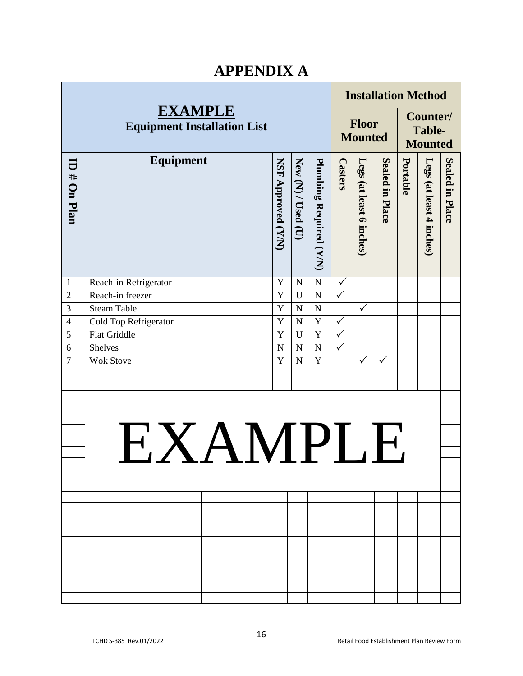## **Installation Method EXAMPLE Counter/ Equipment Installation List Floor Table-Mounted Mounted Equipment Casters** Legs (at least 6 inches) Sealed in Place Portable Legs (at least 4 inches) Sealed in Place New (N) / Used (U) **ID # On Plan** NSF Approved (Y/N) **NSF Approved (Y/N) New (N) / Used (U)** Plumbing Required (Y/N) **Plumbing Required (Y/N) Legs (at least 6 inches) Sealed in Place Portable Legs (at least 4 inches) Sealed in Place**  $ID \# On Plan$ 1 Reach-in Refrigerator<br>
2 Reach-in freezer<br>
Y U N V 2 Reach-in freezer  $|Y|U|N$ 3 Steam Table Y N N 4 Cold Top Refrigerator  $\begin{array}{c|c|c|c|c} \hline \end{array}$  Y N Y V 5 Flat Griddle Y U Y 6 Shelves  $N \mid N \mid N \mid N \mid \checkmark$ 7 | Wok Stove  $\begin{array}{c|c|c|c|c|c} & Y & N & Y & \end{array}$ EXAMPLE

## **APPENDIX A**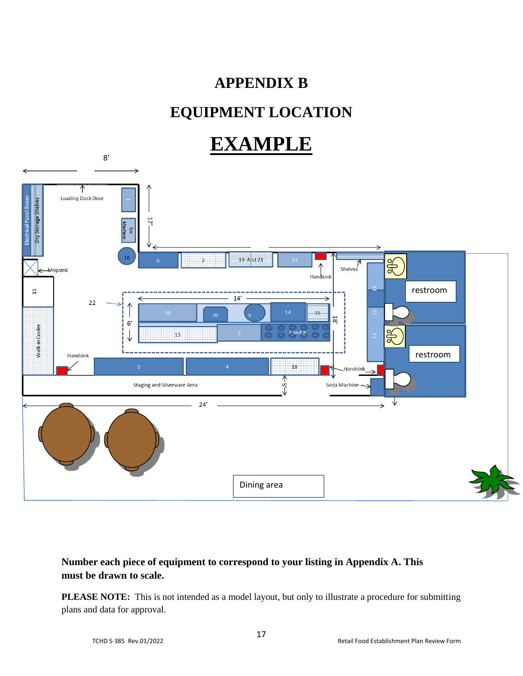# **APPENDIX B**

# **EQUIPMENT LOCATION**

# **EXAMPLE**



## **Number each piece of equipment to correspond to your listing in Appendix A. This must be drawn to scale.**

**PLEASE NOTE:** This is not intended as a model layout, but only to illustrate a procedure for submitting plans and data for approval.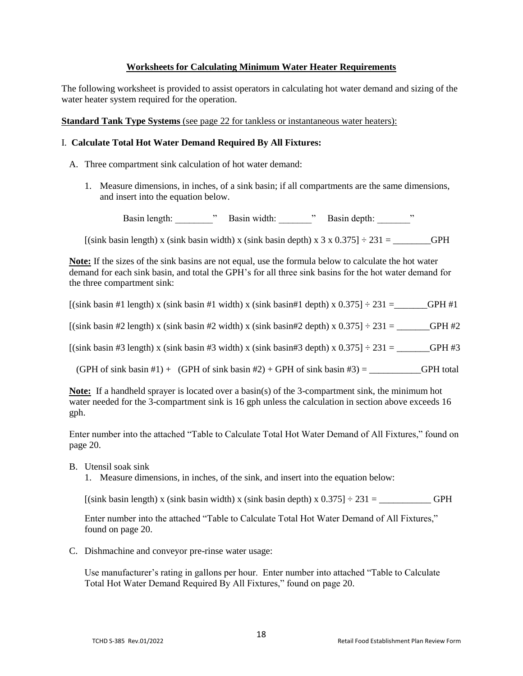### **Worksheets for Calculating Minimum Water Heater Requirements**

The following worksheet is provided to assist operators in calculating hot water demand and sizing of the water heater system required for the operation.

### **Standard Tank Type Systems** (see page 22 for tankless or instantaneous water heaters):

### I. **Calculate Total Hot Water Demand Required By All Fixtures:**

- A. Three compartment sink calculation of hot water demand:
	- 1. Measure dimensions, in inches, of a sink basin; if all compartments are the same dimensions, and insert into the equation below.

Basin length:  $\frac{1}{2}$   $\frac{1}{2}$  Basin width:  $\frac{1}{2}$  Basin depth:  $\frac{1}{2}$ 

 $[(\sin k \text{ basin length}) \times (\sin k \text{ basin width}) \times (\sin k \text{ basin depth}) \times 3 \times 0.375] \div 231 =$  GPH

**Note:** If the sizes of the sink basins are not equal, use the formula below to calculate the hot water demand for each sink basin, and total the GPH's for all three sink basins for the hot water demand for the three compartment sink:

| $[(\sin k \text{ basin } #1 \text{ length}) \times (\sin k \text{ basin } #1 \text{ width}) \times (\sin k \text{ basin } #1 \text{ depth}) \times 0.375] \div 231 =$ | GPH#1  |
|-----------------------------------------------------------------------------------------------------------------------------------------------------------------------|--------|
| $[(\sin k \text{ basin} #2 \text{ length}) \times (\sin k \text{ basin} #2 \text{ width}) \times (\sin k \text{ basin} #2 \text{ depth}) \times 0.375] \div 231 =$    | GPH#2  |
| [(sink basin #3 length) x (sink basin #3 width) x (sink basin#3 depth) x $0.375$ ] $\div 231 =$                                                                       | GPH #3 |

(GPH of sink basin #1) + (GPH of sink basin #2) + GPH of sink basin #3) = \_\_\_\_\_\_\_\_\_\_\_GPH total

**Note:** If a handheld sprayer is located over a basin(s) of the 3-compartment sink, the minimum hot water needed for the 3-compartment sink is 16 gph unless the calculation in section above exceeds 16 gph.

Enter number into the attached "Table to Calculate Total Hot Water Demand of All Fixtures," found on page 20.

- B. Utensil soak sink
	- 1. Measure dimensions, in inches, of the sink, and insert into the equation below:

 $[(\sin k \text{ basin length}) x (\sin k \text{ basin width}) x (\sin k \text{ basin depth}) x 0.375] \div 231 =$  GPH

Enter number into the attached "Table to Calculate Total Hot Water Demand of All Fixtures," found on page 20.

C. Dishmachine and conveyor pre-rinse water usage:

Use manufacturer's rating in gallons per hour. Enter number into attached "Table to Calculate Total Hot Water Demand Required By All Fixtures," found on page 20.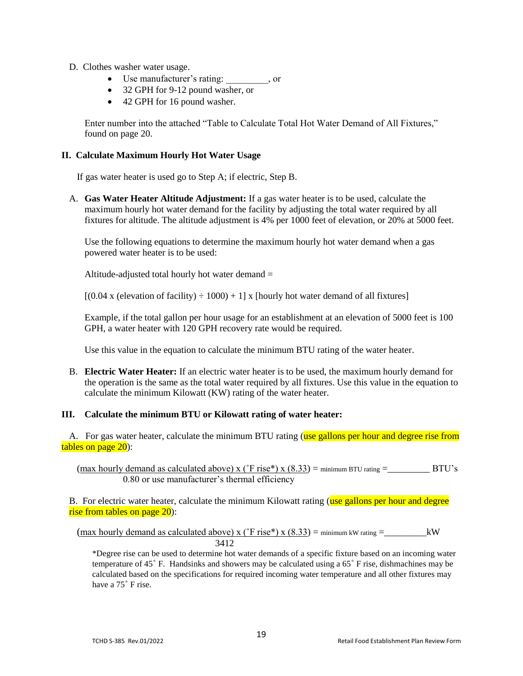- D. Clothes washer water usage.
	- Use manufacturer's rating:  $\qquad \qquad$ , or
	- 32 GPH for 9-12 pound washer, or
	- 42 GPH for 16 pound washer.

Enter number into the attached "Table to Calculate Total Hot Water Demand of All Fixtures," found on page 20.

### **II. Calculate Maximum Hourly Hot Water Usage**

If gas water heater is used go to Step A; if electric, Step B.

A. **Gas Water Heater Altitude Adjustment:** If a gas water heater is to be used, calculate the maximum hourly hot water demand for the facility by adjusting the total water required by all fixtures for altitude. The altitude adjustment is 4% per 1000 feet of elevation, or 20% at 5000 feet.

Use the following equations to determine the maximum hourly hot water demand when a gas powered water heater is to be used:

Altitude-adjusted total hourly hot water demand =

 $[(0.04 \times$  (elevation of facility)  $\div$  1000) + 1] x [hourly hot water demand of all fixtures]

Example, if the total gallon per hour usage for an establishment at an elevation of 5000 feet is 100 GPH, a water heater with 120 GPH recovery rate would be required.

Use this value in the equation to calculate the minimum BTU rating of the water heater.

B. **Electric Water Heater:** If an electric water heater is to be used, the maximum hourly demand for the operation is the same as the total water required by all fixtures. Use this value in the equation to calculate the minimum Kilowatt (KW) rating of the water heater.

### **III. Calculate the minimum BTU or Kilowatt rating of water heater:**

A. For gas water heater, calculate the minimum BTU rating (use gallons per hour and degree rise from tables on page 20):

(max hourly demand as calculated above) x  $({}^{\circ}F$  rise\*) x  $(8.33)$  = minimum BTU rating = \_\_\_\_\_\_\_\_\_ BTU's 0.80 or use manufacturer's thermal efficiency

B. For electric water heater, calculate the minimum Kilowatt rating (use gallons per hour and degree rise from tables on page 20):

(max hourly demand as calculated above) x (˚F rise\*) x (8.33) = minimum kW rating =\_\_\_\_\_\_\_\_\_kW 3412

\*Degree rise can be used to determine hot water demands of a specific fixture based on an incoming water temperature of 45˚ F. Handsinks and showers may be calculated using a 65˚ F rise, dishmachines may be calculated based on the specifications for required incoming water temperature and all other fixtures may have a 75˚ F rise.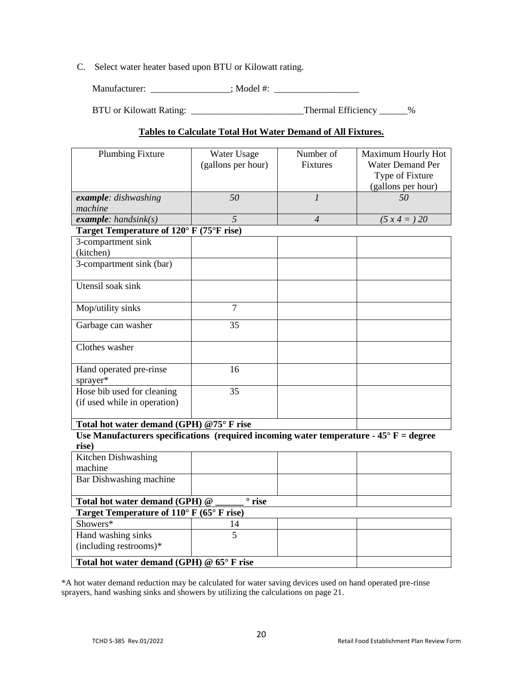C. Select water heater based upon BTU or Kilowatt rating.

Manufacturer: \_\_\_\_\_\_\_\_\_\_\_\_\_\_\_\_\_; Model #: \_\_\_\_\_\_\_\_\_\_\_\_\_\_\_\_\_\_

BTU or Kilowatt Rating: \_\_\_\_\_\_\_\_\_\_\_\_\_\_\_\_\_\_\_\_\_\_\_\_\_\_\_\_\_\_Thermal Efficiency \_\_\_\_\_\_%

### **Tables to Calculate Total Hot Water Demand of All Fixtures.**

| <b>Plumbing Fixture</b>                                                                         | Water Usage        | Number of     | Maximum Hourly Hot |
|-------------------------------------------------------------------------------------------------|--------------------|---------------|--------------------|
|                                                                                                 | (gallons per hour) | Fixtures      | Water Demand Per   |
|                                                                                                 |                    |               | Type of Fixture    |
|                                                                                                 |                    |               | (gallons per hour) |
| example: dishwashing                                                                            | 50                 | $\mathfrak l$ | 50                 |
| machine                                                                                         |                    |               |                    |
| $\boldsymbol{\textit{example}:}$ handsink(s)                                                    | 5                  | 4             | $(5x4) = 20$       |
| Target Temperature of 120° F (75°F rise)                                                        |                    |               |                    |
| 3-compartment sink                                                                              |                    |               |                    |
| (kitchen)                                                                                       |                    |               |                    |
| 3-compartment sink (bar)                                                                        |                    |               |                    |
| Utensil soak sink                                                                               |                    |               |                    |
|                                                                                                 |                    |               |                    |
| Mop/utility sinks                                                                               | 7                  |               |                    |
| Garbage can washer                                                                              | 35                 |               |                    |
| Clothes washer                                                                                  |                    |               |                    |
| Hand operated pre-rinse                                                                         | 16                 |               |                    |
| sprayer*                                                                                        |                    |               |                    |
| Hose bib used for cleaning                                                                      | 35                 |               |                    |
| (if used while in operation)                                                                    |                    |               |                    |
| Total hot water demand (GPH) @75° F rise                                                        |                    |               |                    |
| Use Manufacturers specifications (required incoming water temperature - $45^{\circ}$ F = degree |                    |               |                    |
| rise)                                                                                           |                    |               |                    |
| Kitchen Dishwashing                                                                             |                    |               |                    |
| machine                                                                                         |                    |               |                    |
| Bar Dishwashing machine                                                                         |                    |               |                    |
| Total hot water demand (GPH) @                                                                  | $\circ$ rise       |               |                    |
| Target Temperature of 110° F (65° F rise)                                                       |                    |               |                    |
| Showers*                                                                                        | 14                 |               |                    |
| Hand washing sinks                                                                              | 5                  |               |                    |
| (including restrooms)*                                                                          |                    |               |                    |
| Total hot water demand (GPH) @ 65° F rise                                                       |                    |               |                    |

\*A hot water demand reduction may be calculated for water saving devices used on hand operated pre-rinse sprayers, hand washing sinks and showers by utilizing the calculations on page 21.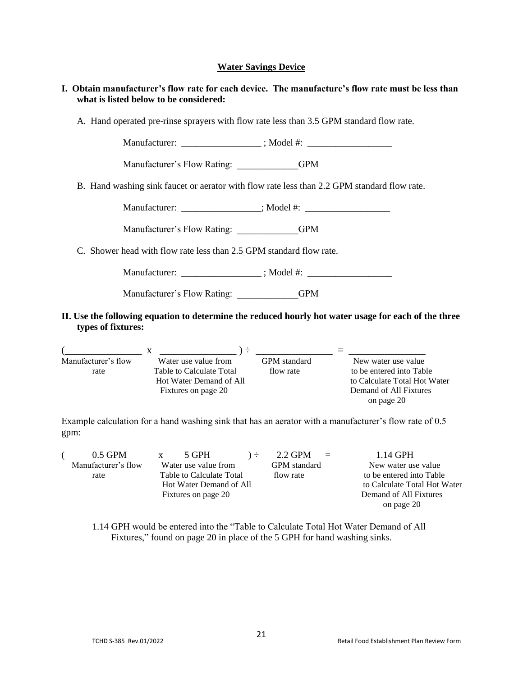#### **Water Savings Device**

| I. Obtain manufacturer's flow rate for each device. The manufacture's flow rate must be less than<br>what is listed below to be considered: |
|---------------------------------------------------------------------------------------------------------------------------------------------|
| A. Hand operated pre-rinse sprayers with flow rate less than 3.5 GPM standard flow rate.                                                    |
|                                                                                                                                             |
| Manufacturer's Flow Rating: GPM                                                                                                             |
| B. Hand washing sink faucet or aerator with flow rate less than 2.2 GPM standard flow rate.                                                 |
|                                                                                                                                             |
| Manufacturer's Flow Rating: GPM                                                                                                             |
| C. Shower head with flow rate less than 2.5 GPM standard flow rate.                                                                         |
|                                                                                                                                             |
| Manufacturer's Flow Rating: GPM                                                                                                             |
|                                                                                                                                             |

### **II. Use the following equation to determine the reduced hourly hot water usage for each of the three types of fixtures:**

| Manufacturer's flow | Water use value from     | GPM standard | New water use value          |
|---------------------|--------------------------|--------------|------------------------------|
| rate                | Table to Calculate Total | flow rate    | to be entered into Table     |
|                     | Hot Water Demand of All  |              | to Calculate Total Hot Water |
|                     | Fixtures on page 20      |              | Demand of All Fixtures       |
|                     |                          |              | on page 20                   |

Example calculation for a hand washing sink that has an aerator with a manufacturer's flow rate of 0.5 gpm:

| $0.5$ GPM           | 5 GPH                    | 2.2 GPM<br>$\equiv$ | 1.14 GPH                     |
|---------------------|--------------------------|---------------------|------------------------------|
| Manufacturer's flow | Water use value from     | <b>GPM</b> standard | New water use value          |
| rate                | Table to Calculate Total | flow rate           | to be entered into Table     |
|                     | Hot Water Demand of All  |                     | to Calculate Total Hot Water |
|                     | Fixtures on page 20      |                     | Demand of All Fixtures       |
|                     |                          |                     | on page 20                   |

1.14 GPH would be entered into the "Table to Calculate Total Hot Water Demand of All Fixtures," found on page 20 in place of the 5 GPH for hand washing sinks.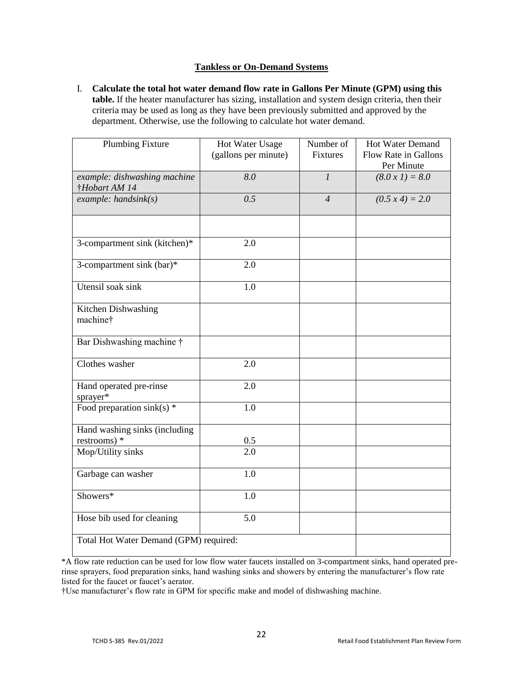### **Tankless or On-Demand Systems**

I. **Calculate the total hot water demand flow rate in Gallons Per Minute (GPM) using this table.** If the heater manufacturer has sizing, installation and system design criteria, then their criteria may be used as long as they have been previously submitted and approved by the department. Otherwise, use the following to calculate hot water demand.

| <b>Plumbing Fixture</b>                       | Hot Water Usage<br>(gallons per minute) | Number of<br><b>Fixtures</b> | <b>Hot Water Demand</b><br>Flow Rate in Gallons<br>Per Minute |
|-----------------------------------------------|-----------------------------------------|------------------------------|---------------------------------------------------------------|
| example: dishwashing machine<br>†Hobart AM 14 | 8.0                                     | $\overline{I}$               | $(8.0 x 1) = 8.0$                                             |
| $example:$ handsink $(s)$                     | 0.5                                     | $\overline{4}$               | $(0.5 x 4) = 2.0$                                             |
|                                               |                                         |                              |                                                               |
| 3-compartment sink (kitchen)*                 | 2.0                                     |                              |                                                               |
| 3-compartment sink (bar)*                     | 2.0                                     |                              |                                                               |
| Utensil soak sink                             | 1.0                                     |                              |                                                               |
| Kitchen Dishwashing<br>machine†               |                                         |                              |                                                               |
| Bar Dishwashing machine †                     |                                         |                              |                                                               |
| Clothes washer                                | 2.0                                     |                              |                                                               |
| Hand operated pre-rinse<br>sprayer*           | 2.0                                     |                              |                                                               |
| Food preparation sink(s) $*$                  | 1.0                                     |                              |                                                               |
| Hand washing sinks (including<br>restrooms) * | 0.5                                     |                              |                                                               |
| Mop/Utility sinks                             | 2.0                                     |                              |                                                               |
| Garbage can washer                            | 1.0                                     |                              |                                                               |
| Showers*                                      | 1.0                                     |                              |                                                               |
| Hose bib used for cleaning                    | 5.0                                     |                              |                                                               |
| Total Hot Water Demand (GPM) required:        |                                         |                              |                                                               |

\*A flow rate reduction can be used for low flow water faucets installed on 3-compartment sinks, hand operated prerinse sprayers, food preparation sinks, hand washing sinks and showers by entering the manufacturer's flow rate listed for the faucet or faucet's aerator.

†Use manufacturer's flow rate in GPM for specific make and model of dishwashing machine.